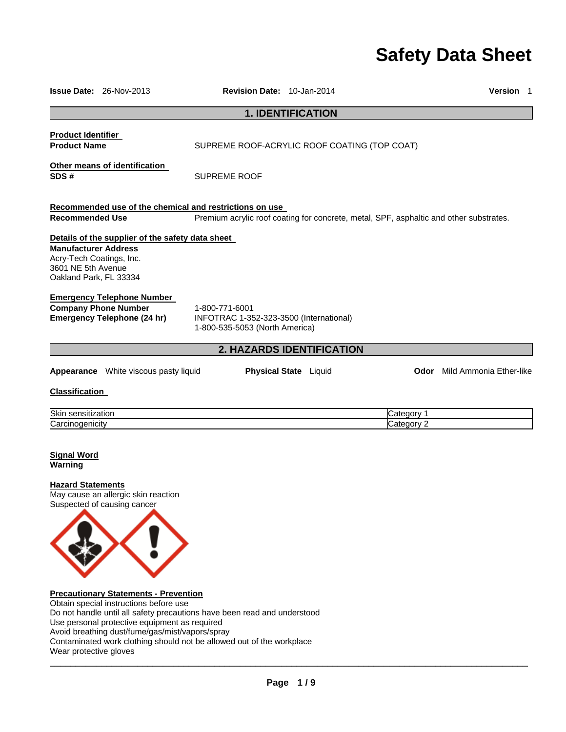# **Safety Data Sheet**

|                                                                                                         | <b>Issue Date: 26-Nov-2013</b>                                                                  | Revision Date: 10-Jan-2014                                                                  |                                                                                        |            | Version 1                           |
|---------------------------------------------------------------------------------------------------------|-------------------------------------------------------------------------------------------------|---------------------------------------------------------------------------------------------|----------------------------------------------------------------------------------------|------------|-------------------------------------|
|                                                                                                         |                                                                                                 |                                                                                             | <b>1. IDENTIFICATION</b>                                                               |            |                                     |
| Product Identifier<br><b>Product Name</b>                                                               |                                                                                                 |                                                                                             | SUPREME ROOF-ACRYLIC ROOF COATING (TOP COAT)                                           |            |                                     |
| SDS #                                                                                                   | Other means of identification                                                                   | <b>SUPREME ROOF</b>                                                                         |                                                                                        |            |                                     |
|                                                                                                         |                                                                                                 | Recommended use of the chemical and restrictions on use                                     |                                                                                        |            |                                     |
| <b>Recommended Use</b>                                                                                  |                                                                                                 |                                                                                             | Premium acrylic roof coating for concrete, metal, SPF, asphaltic and other substrates. |            |                                     |
| <b>Manufacturer Address</b><br>Acry-Tech Coatings, Inc.<br>3601 NE 5th Avenue<br>Oakland Park, FL 33334 | Details of the supplier of the safety data sheet                                                |                                                                                             |                                                                                        |            |                                     |
|                                                                                                         | <b>Emergency Telephone Number</b><br><b>Company Phone Number</b><br>Emergency Telephone (24 hr) | 1-800-771-6001<br>INFOTRAC 1-352-323-3500 (International)<br>1-800-535-5053 (North America) |                                                                                        |            |                                     |
|                                                                                                         |                                                                                                 |                                                                                             | <b>2. HAZARDS IDENTIFICATION</b>                                                       |            |                                     |
|                                                                                                         | Appearance White viscous pasty liquid                                                           |                                                                                             | <b>Physical State</b> Liquid                                                           |            | <b>Odor</b> Mild Ammonia Ether-like |
| <b>Classification</b>                                                                                   |                                                                                                 |                                                                                             |                                                                                        |            |                                     |
| Skin sensitization                                                                                      |                                                                                                 |                                                                                             |                                                                                        | Category 1 |                                     |
| Carcinogenicity                                                                                         |                                                                                                 |                                                                                             |                                                                                        | Category 2 |                                     |
| <b>Signal Word</b><br>Warning                                                                           |                                                                                                 |                                                                                             |                                                                                        |            |                                     |
| <b>Hazard Statements</b>                                                                                | May cause an allergic skin reaction<br>Suspected of causing cancer                              |                                                                                             |                                                                                        |            |                                     |



**Precautionary Statements - Prevention** 

Obtain special instructions before use Do not handle until all safety precautions have been read and understood Use personal protective equipment as required Avoid breathing dust/fume/gas/mist/vapors/spray Contaminated work clothing should not be allowed out of the workplace Wear protective gloves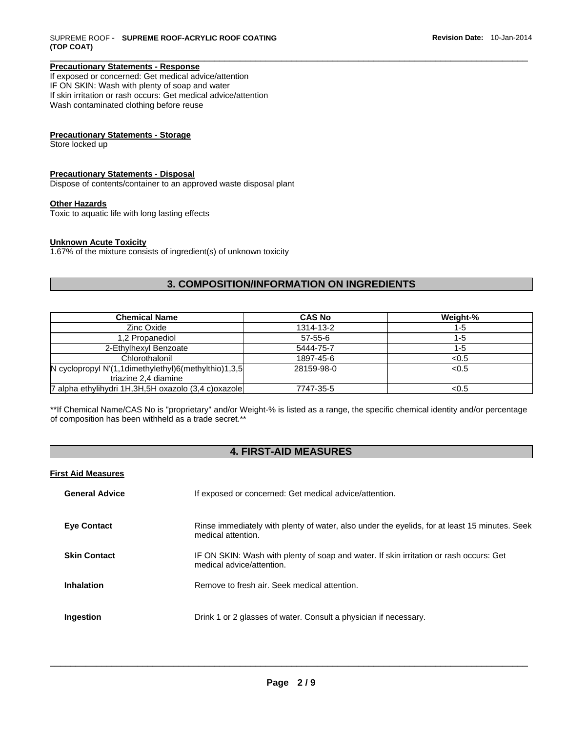## **Precautionary Statements - Response**

If exposed or concerned: Get medical advice/attention IF ON SKIN: Wash with plenty of soap and water If skin irritation or rash occurs: Get medical advice/attention Wash contaminated clothing before reuse

## **Precautionary Statements - Storage**

Store locked up

## **Precautionary Statements - Disposal**

Dispose of contents/container to an approved waste disposal plant

## **Other Hazards**

Toxic to aquatic life with long lasting effects

#### **Unknown Acute Toxicity**

1.67% of the mixture consists of ingredient(s) of unknown toxicity

## **3. COMPOSITION/INFORMATION ON INGREDIENTS**

\_\_\_\_\_\_\_\_\_\_\_\_\_\_\_\_\_\_\_\_\_\_\_\_\_\_\_\_\_\_\_\_\_\_\_\_\_\_\_\_\_\_\_\_\_\_\_\_\_\_\_\_\_\_\_\_\_\_\_\_\_\_\_\_\_\_\_\_\_\_\_\_\_\_\_\_\_\_\_\_\_\_\_\_\_\_\_\_\_\_\_\_\_

| <b>Chemical Name</b>                                                                 | <b>CAS No</b> | Weight-% |
|--------------------------------------------------------------------------------------|---------------|----------|
| Zinc Oxide                                                                           | 1314-13-2     | 1-5      |
| 1,2 Propanediol                                                                      | $57 - 55 - 6$ | 1-5      |
| 2-Ethylhexyl Benzoate                                                                | 5444-75-7     | 1-5      |
| Chlorothalonil                                                                       | 1897-45-6     | < 0.5    |
| N cyclopropyl $N'(1, 1$ dimethylethyl $)6$ (methylthio)1,3,5<br>triazine 2.4 diamine | 28159-98-0    | < 0.5    |
| 7 alpha ethylihydri 1H,3H,5H oxazolo (3,4 c)oxazole                                  | 7747-35-5     | < 0.5    |

\*\*If Chemical Name/CAS No is "proprietary" and/or Weight-% is listed as a range, the specific chemical identity and/or percentage of composition has been withheld as a trade secret.\*\*

# **4. FIRST-AID MEASURES**

#### **First Aid Measures**

| <b>General Advice</b> | If exposed or concerned: Get medical advice/attention.                                                              |
|-----------------------|---------------------------------------------------------------------------------------------------------------------|
| <b>Eye Contact</b>    | Rinse immediately with plenty of water, also under the eyelids, for at least 15 minutes. Seek<br>medical attention. |
| <b>Skin Contact</b>   | IF ON SKIN: Wash with plenty of soap and water. If skin irritation or rash occurs: Get<br>medical advice/attention. |
| Inhalation            | Remove to fresh air. Seek medical attention.                                                                        |
| Ingestion             | Drink 1 or 2 glasses of water. Consult a physician if necessary.                                                    |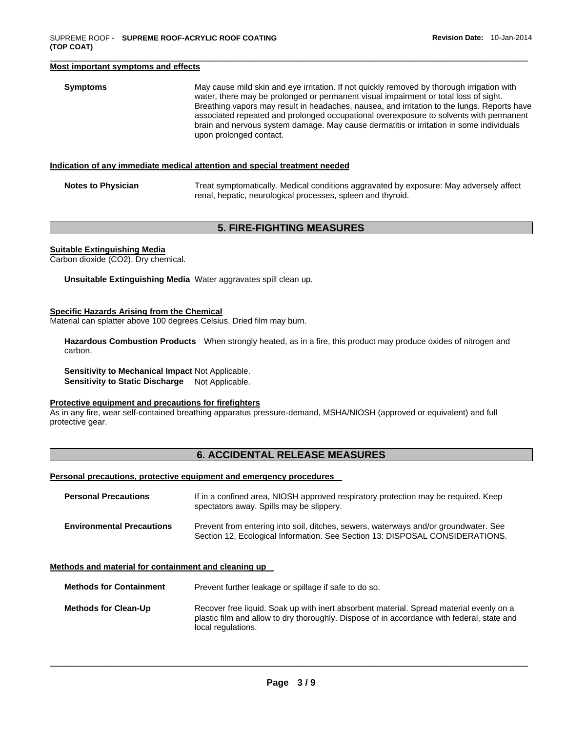#### **Most important symptoms and effects**

| <b>Symptoms</b> | May cause mild skin and eye irritation. If not quickly removed by thorough irrigation with<br>water, there may be prolonged or permanent visual impairment or total loss of sight.<br>Breathing vapors may result in headaches, nausea, and irritation to the lungs. Reports have<br>associated repeated and prolonged occupational overexposure to solvents with permanent<br>brain and nervous system damage. May cause dermatitis or irritation in some individuals<br>upon prolonged contact. |
|-----------------|---------------------------------------------------------------------------------------------------------------------------------------------------------------------------------------------------------------------------------------------------------------------------------------------------------------------------------------------------------------------------------------------------------------------------------------------------------------------------------------------------|
|                 |                                                                                                                                                                                                                                                                                                                                                                                                                                                                                                   |

#### **Indication of any immediate medical attention and special treatment needed**

| <b>Notes to Physician</b> | Treat symptomatically. Medical conditions aggravated by exposure: May adversely affect |  |
|---------------------------|----------------------------------------------------------------------------------------|--|
|                           | renal, hepatic, neurological processes, spleen and thyroid.                            |  |

## **5. FIRE-FIGHTING MEASURES**

#### **Suitable Extinguishing Media**

Carbon dioxide (CO2). Dry chemical.

**Unsuitable Extinguishing Media** Water aggravates spill clean up.

#### **Specific Hazards Arising from the Chemical**

Material can splatter above 100 degrees Celsius. Dried film may burn.

**Hazardous Combustion Products** When strongly heated, as in a fire, this product may produce oxides of nitrogen and carbon.

**Sensitivity to Mechanical Impact** Not Applicable. **Sensitivity to Static Discharge** Not Applicable.

#### **Protective equipment and precautions for firefighters**

As in any fire, wear self-contained breathing apparatus pressure-demand, MSHA/NIOSH (approved or equivalent) and full protective gear.

# **6. ACCIDENTAL RELEASE MEASURES**

#### **Personal precautions, protective equipment and emergency procedures**

| <b>Personal Precautions</b>      | If in a confined area, NIOSH approved respiratory protection may be required. Keep<br>spectators away. Spills may be slippery.                                      |
|----------------------------------|---------------------------------------------------------------------------------------------------------------------------------------------------------------------|
| <b>Environmental Precautions</b> | Prevent from entering into soil, ditches, sewers, waterways and/or groundwater. See<br>Section 12, Ecological Information. See Section 13: DISPOSAL CONSIDERATIONS. |

#### **Methods and material for containment and cleaning up**

**Methods for Containment** Prevent further leakage or spillage if safe to do so.

**Methods for Clean-Up** Recover free liquid. Soak up with inert absorbent material. Spread material evenly on a plastic film and allow to dry thoroughly. Dispose of in accordance with federal, state and local regulations.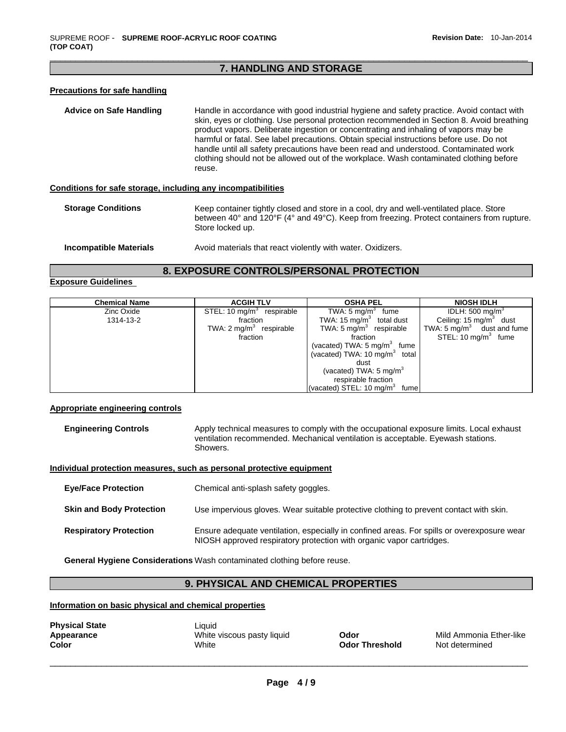## \_\_\_\_\_\_\_\_\_\_\_\_\_\_\_\_\_\_\_\_\_\_\_\_\_\_\_\_\_\_\_\_\_\_\_\_\_\_\_\_\_\_\_\_\_\_\_\_\_\_\_\_\_\_\_\_\_\_\_\_\_\_\_\_\_\_\_\_\_\_\_\_\_\_\_\_\_\_\_\_\_\_\_\_\_\_\_\_\_\_\_\_\_ **7. HANDLING AND STORAGE**

## **Precautions for safe handling**

**Advice on Safe Handling** Handle in accordance with good industrial hygiene and safety practice. Avoid contact with skin, eyes or clothing. Use personal protection recommended in Section 8. Avoid breathing product vapors. Deliberate ingestion or concentrating and inhaling of vapors may be harmful or fatal. See label precautions. Obtain special instructions before use. Do not handle until all safety precautions have been read and understood. Contaminated work clothing should not be allowed out of the workplace. Wash contaminated clothing before reuse.

## **Conditions for safe storage, including any incompatibilities**

**Storage Conditions** Keep container tightly closed and store in a cool, dry and well-ventilated place. Store between 40° and 120°F (4° and 49°C). Keep from freezing. Protect containers from rupture. Store locked up.

```
Incompatible Materials Avoid materials that react violently with water. Oxidizers.
```
# **8. EXPOSURE CONTROLS/PERSONAL PROTECTION**

#### **Exposure Guidelines**

| <b>Chemical Name</b> | <b>ACGIH TLV</b>                      | <b>OSHA PEL</b>                           | <b>NIOSH IDLH</b>                  |
|----------------------|---------------------------------------|-------------------------------------------|------------------------------------|
| Zinc Oxide           | STEL: 10 mg/m <sup>3</sup> respirable | TWA: $5 \text{ mg/m}^3$ fume              | IDLH: 500 mg/m $3$                 |
| 1314-13-2            | fraction                              | TWA: 15 $mg/m3$ total dust                | Ceiling: 15 mg/m <sup>3</sup> dust |
|                      | TWA: $2 \text{ mg/m}^3$ respirable    | TWA: $5 \text{ mg/m}^3$ respirable        | TWA: 5 $mq/m3$ dust and fume       |
|                      | fraction                              | fraction                                  | STEL: 10 mg/m <sup>3</sup> fume    |
|                      |                                       | (vacated) TWA: 5 mg/m <sup>3</sup> fume   |                                    |
|                      |                                       | (vacated) TWA: 10 mg/m <sup>3</sup> total |                                    |
|                      |                                       | dust                                      |                                    |
|                      |                                       | (vacated) TWA: $5 \text{ mg/m}^3$         |                                    |
|                      |                                       | respirable fraction                       |                                    |
|                      |                                       | (vacated) STEL: $10 \text{ mg/m}^3$ fume  |                                    |

## **Appropriate engineering controls**

| <b>Engineering Controls</b> | Apply technical measures to comply with the occupational exposure limits. Local exhaust |
|-----------------------------|-----------------------------------------------------------------------------------------|
|                             | ventilation recommended. Mechanical ventilation is acceptable. Evewash stations.        |
|                             | Showers.                                                                                |

#### **Individual protection measures, such as personal protective equipment**

| <b>Eve/Face Protection</b>      | Chemical anti-splash safety goggles.                                                                                                                               |
|---------------------------------|--------------------------------------------------------------------------------------------------------------------------------------------------------------------|
| <b>Skin and Body Protection</b> | Use impervious gloves. Wear suitable protective clothing to prevent contact with skin.                                                                             |
| <b>Respiratory Protection</b>   | Ensure adequate ventilation, especially in confined areas. For spills or overexposure wear<br>NIOSH approved respiratory protection with organic vapor cartridges. |

**General Hygiene Considerations** Wash contaminated clothing before reuse.

# **9. PHYSICAL AND CHEMICAL PROPERTIES**

#### **Information on basic physical and chemical properties**

| <b>Physical State</b> |  |
|-----------------------|--|
| Appearance            |  |
| Color                 |  |

Liquid White viscous pasty liquid **Odor Odor** Mild Ammonia Ether-like **Color** White **Odor Threshold** Not determined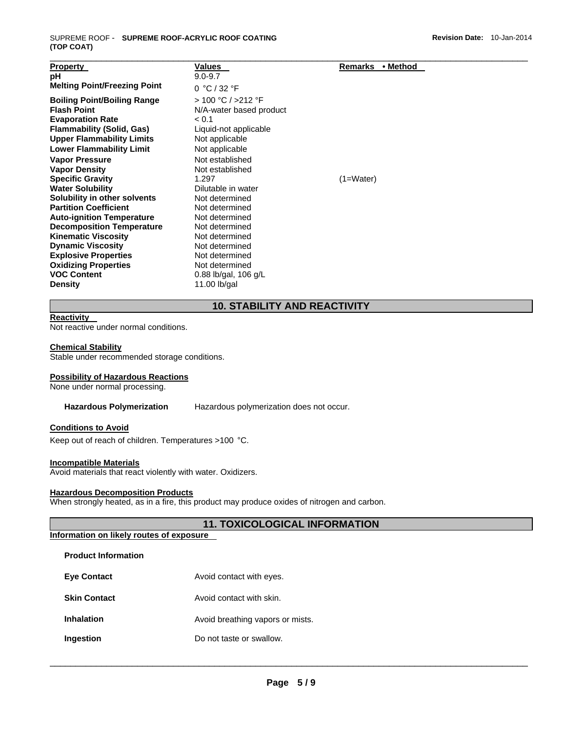| <b>Property</b>                     | <b>Values</b>           | Remarks<br>• Method |  |
|-------------------------------------|-------------------------|---------------------|--|
| рH                                  | $9.0 - 9.7$             |                     |  |
| <b>Melting Point/Freezing Point</b> | 0 °C / 32 °F            |                     |  |
| <b>Boiling Point/Boiling Range</b>  | > 100 °C / >212 °F      |                     |  |
| <b>Flash Point</b>                  | N/A-water based product |                     |  |
| <b>Evaporation Rate</b>             | < 0.1                   |                     |  |
| <b>Flammability (Solid, Gas)</b>    | Liquid-not applicable   |                     |  |
| <b>Upper Flammability Limits</b>    | Not applicable          |                     |  |
| <b>Lower Flammability Limit</b>     | Not applicable          |                     |  |
| <b>Vapor Pressure</b>               | Not established         |                     |  |
| <b>Vapor Density</b>                | Not established         |                     |  |
| <b>Specific Gravity</b>             | 1.297                   | $(1=Water)$         |  |
| <b>Water Solubility</b>             | Dilutable in water      |                     |  |
| Solubility in other solvents        | Not determined          |                     |  |
| <b>Partition Coefficient</b>        | Not determined          |                     |  |
| <b>Auto-ignition Temperature</b>    | Not determined          |                     |  |
| <b>Decomposition Temperature</b>    | Not determined          |                     |  |
| <b>Kinematic Viscosity</b>          | Not determined          |                     |  |
| <b>Dynamic Viscosity</b>            | Not determined          |                     |  |
| <b>Explosive Properties</b>         | Not determined          |                     |  |
| <b>Oxidizing Properties</b>         | Not determined          |                     |  |
| <b>VOC Content</b>                  | $0.88$ lb/gal, 106 g/L  |                     |  |
| <b>Density</b>                      | 11.00 lb/gal            |                     |  |

# **10. STABILITY AND REACTIVITY**

## **Reactivity**

Not reactive under normal conditions.

#### **Chemical Stability**

Stable under recommended storage conditions.

#### **Possibility of Hazardous Reactions**

None under normal processing.

**Hazardous Polymerization** Hazardous polymerization does not occur.

#### **Conditions to Avoid**

Keep out of reach of children. Temperatures >100 °C.

## **Incompatible Materials**

**Product Information** 

Avoid materials that react violently with water. Oxidizers.

#### **Hazardous Decomposition Products**

When strongly heated, as in a fire, this product may produce oxides of nitrogen and carbon.

# **11. TOXICOLOGICAL INFORMATION**

## **Information on likely routes of exposure**

| <b>Product Information</b> |                                  |
|----------------------------|----------------------------------|
| <b>Eve Contact</b>         | Avoid contact with eyes.         |
| <b>Skin Contact</b>        | Avoid contact with skin.         |
| <b>Inhalation</b>          | Avoid breathing vapors or mists. |
| Ingestion                  | Do not taste or swallow.         |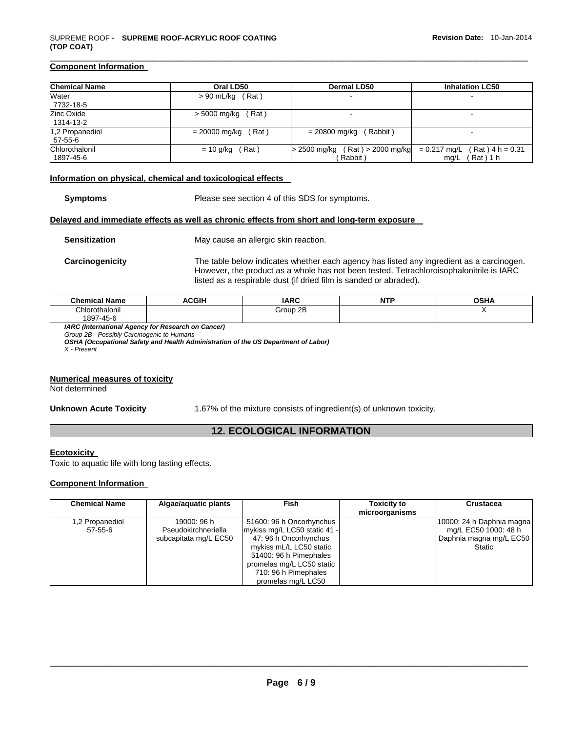## **Component Information**

| <b>Chemical Name</b>        | Oral LD50             | <b>Dermal LD50</b>                              | <b>Inhalation LC50</b>                                   |
|-----------------------------|-----------------------|-------------------------------------------------|----------------------------------------------------------|
| Water<br>7732-18-5          | $> 90$ mL/kg (Rat)    | $\overline{\phantom{a}}$                        |                                                          |
| Zinc Oxide<br>1314-13-2     | (Rat)<br>> 5000 mg/kg | $\overline{\phantom{0}}$                        |                                                          |
| 1,2 Propanediol<br>57-55-6  | $= 20000$ mg/kg (Rat) | = 20800 mg/kg<br>(Rabbit)                       | $\overline{\phantom{0}}$                                 |
| Chlorothalonil<br>1897-45-6 | $= 10$ g/kg (Rat)     | $> 2500$ mg/kg (Rat) $> 2000$ mg/kg<br>(Rabbit) | $= 0.217$ mg/L<br>$(Rat)$ 4 h = 0.31<br>(Rat)1 h<br>mg/L |

#### **Information on physical, chemical and toxicological effects**

**Symptoms** Please see section 4 of this SDS for symptoms.

#### **Delayed and immediate effects as well as chronic effects from short and long-term exposure**

**Sensitization May cause an allergic skin reaction.** 

**Carcinogenicity** The table below indicates whether each agency has listed any ingredient as a carcinogen. However, the product as a whole has not been tested. Tetrachloroisophalonitrile is IARC listed as a respirable dust (if dried film is sanded or abraded).

| <b>Chemical Name</b> | ACGIH | <b>IARC</b> | .<br>NH | <b>OSHA</b> |
|----------------------|-------|-------------|---------|-------------|
| Chlorothalonil       |       | Group 2B    |         |             |
| 1897-45-6            |       |             |         |             |

*IARC (International Agency for Research on Cancer)* 

*Group 2B - Possibly Carcinogenic to Humans* 

*OSHA (Occupational Safety and Health Administration of the US Department of Labor) X - Present* 

#### **Numerical measures of toxicity**

Not determined

**Unknown Acute Toxicity** 1.67% of the mixture consists of ingredient(s) of unknown toxicity.

# **12. ECOLOGICAL INFORMATION**

## **Ecotoxicity**

Toxic to aquatic life with long lasting effects.

## **Component Information**

| <b>Chemical Name</b>             | Algae/aguatic plants                                        | Fish                                                                                                                                                                                                              | <b>Toxicity to</b><br>microorganisms | <b>Crustacea</b>                                                                       |
|----------------------------------|-------------------------------------------------------------|-------------------------------------------------------------------------------------------------------------------------------------------------------------------------------------------------------------------|--------------------------------------|----------------------------------------------------------------------------------------|
| 1,2 Propanediol<br>$57 - 55 - 6$ | 19000: 96 h<br>Pseudokirchneriella<br>subcapitata mg/L EC50 | 51600: 96 h Oncorhynchus<br>mykiss mg/L LC50 static 41 -<br>47: 96 h Oncorhynchus<br>mykiss mL/L LC50 static<br>51400: 96 h Pimephales<br>promelas mg/L LC50 static<br>710: 96 h Pimephales<br>promelas mg/L LC50 |                                      | 10000: 24 h Daphnia magna<br>mg/L EC50 1000: 48 h<br>Daphnia magna mg/L EC50<br>Static |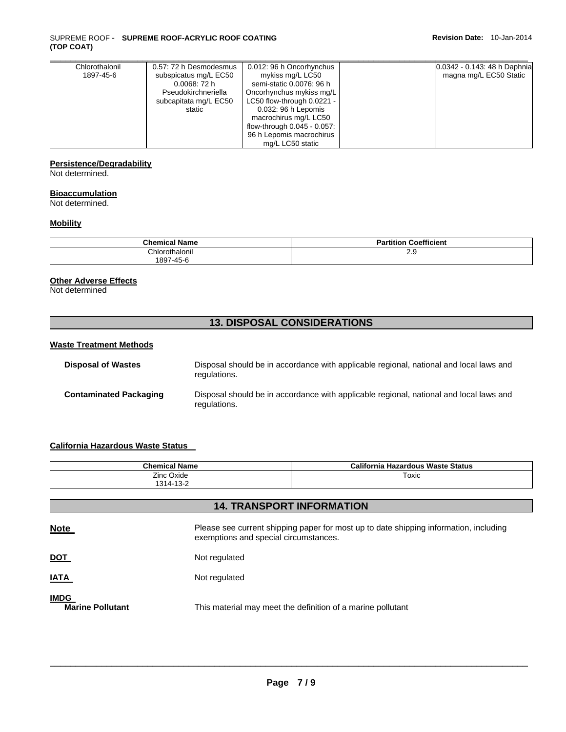#### SUPREME ROOF - **SUPREME ROOF-ACRYLIC ROOF COATING (TOP COAT)**

| Chlorothalonil | 0.57: 72 h Desmodesmus | 0.012: 96 h Oncorhynchus    | 0.0342 - 0.143: 48 h Daphnia |
|----------------|------------------------|-----------------------------|------------------------------|
| 1897-45-6      | subspicatus mg/L EC50  | mykiss mg/L LC50            | magna mg/L EC50 Static       |
|                | 0.0068:72h             | semi-static 0.0076: 96 h    |                              |
|                | Pseudokirchneriella    | Oncorhynchus mykiss mg/L    |                              |
|                | subcapitata mg/L EC50  | LC50 flow-through 0.0221 -  |                              |
|                | static                 | 0.032: 96 h Lepomis         |                              |
|                |                        | macrochirus mg/L LC50       |                              |
|                |                        | flow-through 0.045 - 0.057: |                              |
|                |                        | 96 h Lepomis macrochirus    |                              |
|                |                        | mg/L LC50 static            |                              |

# **Persistence/Degradability**

Not determined.

## **Bioaccumulation**

Not determined.

## **Mobility**

| <b>Chemical Name</b> | <b>Coefficient</b><br>.<br>Partition |
|----------------------|--------------------------------------|
| วิhlorothalonil<br>. | ∠.খ                                  |
| 1897-45-6            |                                      |

## **Other Adverse Effects**

Not determined

# **13. DISPOSAL CONSIDERATIONS**

## **Waste Treatment Methods**

| <b>Disposal of Wastes</b>     | Disposal should be in accordance with applicable regional, national and local laws and<br>regulations. |
|-------------------------------|--------------------------------------------------------------------------------------------------------|
| <b>Contaminated Packaging</b> | Disposal should be in accordance with applicable regional, national and local laws and<br>regulations. |

## **California Hazardous Waste Status**

| <b>Chemical Name</b><br>Zinc Oxide<br>1314-13-2 |                                                                                                                                | <b>California Hazardous Waste Status</b> |  |
|-------------------------------------------------|--------------------------------------------------------------------------------------------------------------------------------|------------------------------------------|--|
|                                                 |                                                                                                                                | Toxic                                    |  |
|                                                 |                                                                                                                                | <b>14. TRANSPORT INFORMATION</b>         |  |
| <b>Note</b>                                     | Please see current shipping paper for most up to date shipping information, including<br>exemptions and special circumstances. |                                          |  |
| <u>DOT</u>                                      | Not regulated                                                                                                                  |                                          |  |
| <u>IATA</u>                                     | Not regulated                                                                                                                  |                                          |  |
| <b>IMDG</b>                                     |                                                                                                                                |                                          |  |

**Marine Pollutant** This material may meet the definition of a marine pollutant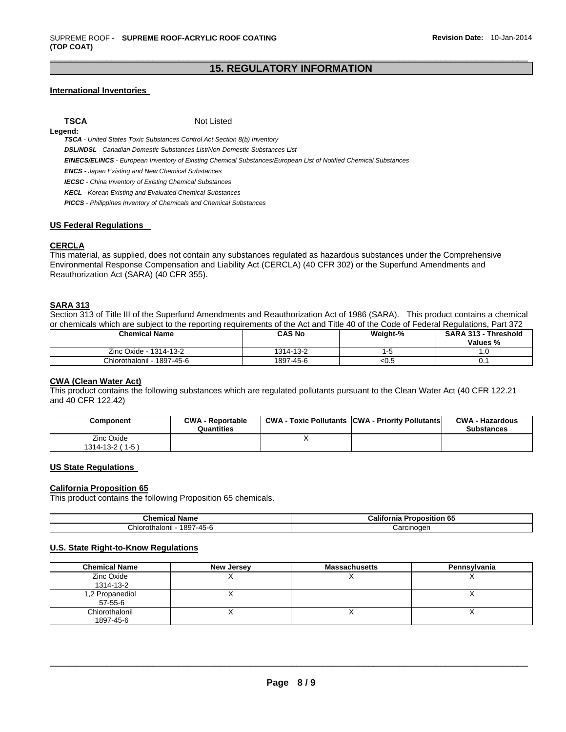## \_\_\_\_\_\_\_\_\_\_\_\_\_\_\_\_\_\_\_\_\_\_\_\_\_\_\_\_\_\_\_\_\_\_\_\_\_\_\_\_\_\_\_\_\_\_\_\_\_\_\_\_\_\_\_\_\_\_\_\_\_\_\_\_\_\_\_\_\_\_\_\_\_\_\_\_\_\_\_\_\_\_\_\_\_\_\_\_\_\_\_\_\_ **15. REGULATORY INFORMATION**

## **International Inventories**

**Legend:** 

**TSCA** Not Listed

*TSCA - United States Toxic Substances Control Act Section 8(b) Inventory* 

*DSL/NDSL - Canadian Domestic Substances List/Non-Domestic Substances List* 

*EINECS/ELINCS - European Inventory of Existing Chemical Substances/European List of Notified Chemical Substances* 

*ENCS - Japan Existing and New Chemical Substances* 

*IECSC - China Inventory of Existing Chemical Substances* 

*KECL - Korean Existing and Evaluated Chemical Substances* 

*PICCS - Philippines Inventory of Chemicals and Chemical Substances* 

#### **US Federal Regulations**

## **CERCLA**

This material, as supplied, does not contain any substances regulated as hazardous substances under the Comprehensive Environmental Response Compensation and Liability Act (CERCLA) (40 CFR 302) or the Superfund Amendments and Reauthorization Act (SARA) (40 CFR 355).

## **SARA 313**

Section 313 of Title III of the Superfund Amendments and Reauthorization Act of 1986 (SARA). This product contains a chemical or chemicals which are subject to the reporting requirements of the Act and Title 40 of the Code of Federal Regulations, Part 372

| <b>Chemical Name</b>       | <b>CAS No</b> | Weight-% | <b>SARA 313 - Threshold</b><br>Values % |
|----------------------------|---------------|----------|-----------------------------------------|
| Zinc Oxide - 1314-13-2     | 1314-13-2     |          | . .U                                    |
| Chlorothalonil - 1897-45-6 | 1897-45-6     | < 0.5    |                                         |

## **CWA (Clean Water Act)**

This product contains the following substances which are regulated pollutants pursuant to the Clean Water Act (40 CFR 122.21 and 40 CFR 122.42)

| Component                            | <b>CWA - Reportable</b><br>Quantities | <b>CWA - Toxic Pollutants CWA - Priority Pollutants</b> | <b>CWA - Hazardous</b><br><b>Substances</b> |
|--------------------------------------|---------------------------------------|---------------------------------------------------------|---------------------------------------------|
| Zinc Oxide<br>$1314 - 13 - 2(1 - 5)$ |                                       |                                                         |                                             |

## **US State Regulations**

#### **California Proposition 65**

This product contains the following Proposition 65 chemicals.

| $\sim$<br>∵Name<br>mical.<br>une.                    | <br>- -<br>6'<br>---<br>Califo<br>-----<br>ronosition<br>mıa<br>ິ |
|------------------------------------------------------|-------------------------------------------------------------------|
| 897<br>Chlor<br>$-45 - 6$<br>rothalonil<br><b>TW</b> | Carcinoder                                                        |

## **U.S. State Right-to-Know Regulations**

| <b>Chemical Name</b>        | New Jersey | <b>Massachusetts</b> | Pennsylvania |
|-----------------------------|------------|----------------------|--------------|
| Zinc Oxide<br>1314-13-2     |            |                      |              |
| 1,2 Propanediol<br>57-55-6  |            |                      |              |
| Chlorothalonil<br>1897-45-6 |            |                      |              |